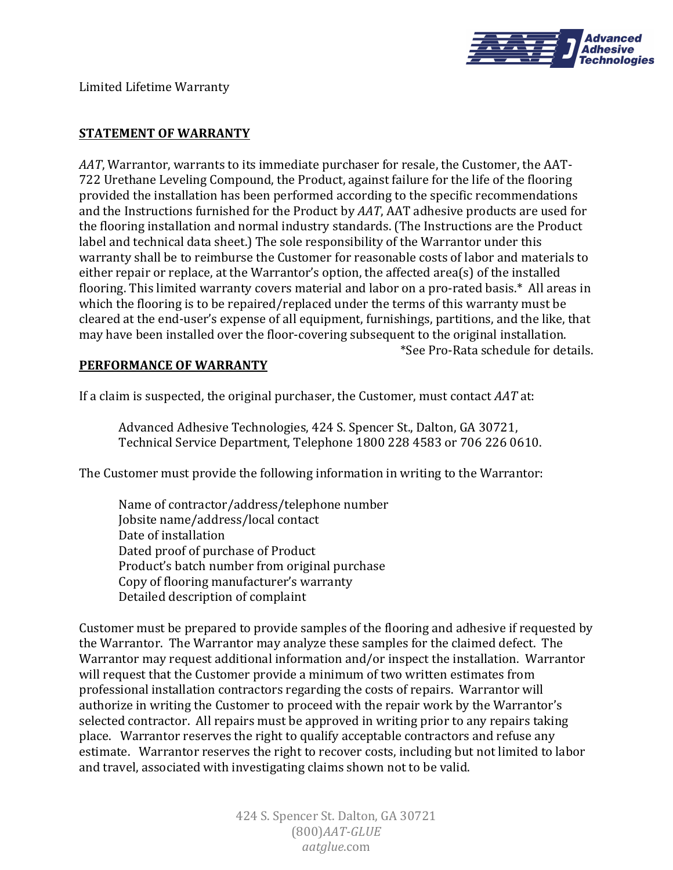

Limited Lifetime Warranty

## **STATEMENT OF WARRANTY**

AAT, Warrantor, warrants to its immediate purchaser for resale, the Customer, the AAT-722 Urethane Leveling Compound, the Product, against failure for the life of the flooring provided the installation has been performed according to the specific recommendations and the Instructions furnished for the Product by *AAT*, AAT adhesive products are used for the flooring installation and normal industry standards. (The Instructions are the Product label and technical data sheet.) The sole responsibility of the Warrantor under this warranty shall be to reimburse the Customer for reasonable costs of labor and materials to either repair or replace, at the Warrantor's option, the affected area(s) of the installed flooring. This limited warranty covers material and labor on a pro-rated basis.\* All areas in which the flooring is to be repaired/replaced under the terms of this warranty must be cleared at the end-user's expense of all equipment, furnishings, partitions, and the like, that may have been installed over the floor-covering subsequent to the original installation. \*See Pro-Rata schedule for details.

## **PERFORMANCE OF WARRANTY**

If a claim is suspected, the original purchaser, the Customer, must contact *AAT* at:

Advanced Adhesive Technologies, 424 S. Spencer St., Dalton, GA 30721, Technical Service Department, Telephone 1800 228 4583 or 706 226 0610.

The Customer must provide the following information in writing to the Warrantor:

Name of contractor/address/telephone number Jobsite name/address/local contact Date of installation Dated proof of purchase of Product Product's batch number from original purchase Copy of flooring manufacturer's warranty Detailed description of complaint

Customer must be prepared to provide samples of the flooring and adhesive if requested by the Warrantor. The Warrantor may analyze these samples for the claimed defect. The Warrantor may request additional information and/or inspect the installation. Warrantor will request that the Customer provide a minimum of two written estimates from professional installation contractors regarding the costs of repairs. Warrantor will authorize in writing the Customer to proceed with the repair work by the Warrantor's selected contractor. All repairs must be approved in writing prior to any repairs taking place. Warrantor reserves the right to qualify acceptable contractors and refuse any estimate. Warrantor reserves the right to recover costs, including but not limited to labor and travel, associated with investigating claims shown not to be valid.

> 424 S. Spencer St. Dalton, GA 30721 (800)*AAT-GLUE aatglue*.com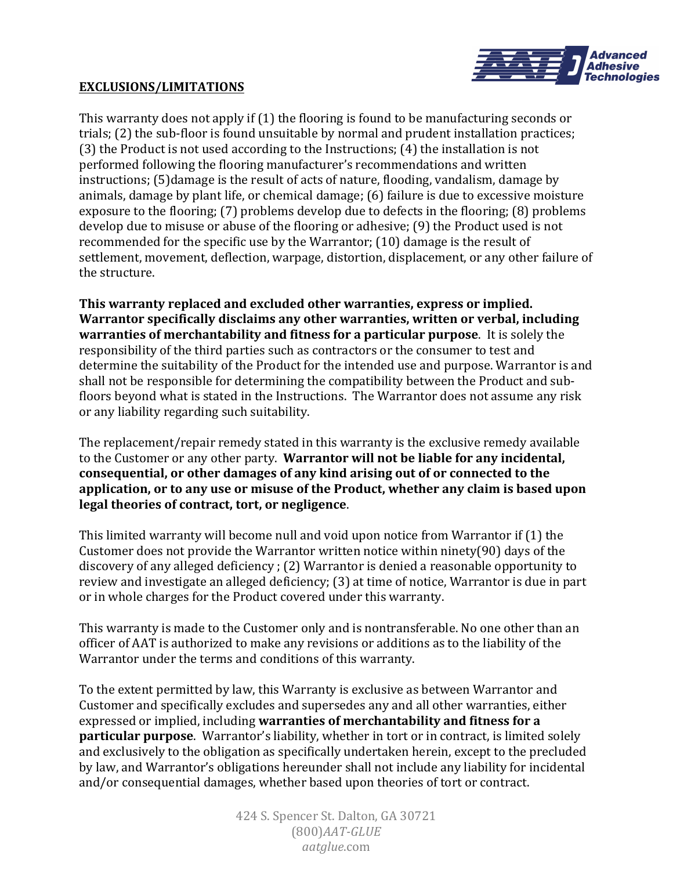

## **EXCLUSIONS/LIMITATIONS**

This warranty does not apply if  $(1)$  the flooring is found to be manufacturing seconds or trials; (2) the sub-floor is found unsuitable by normal and prudent installation practices; (3) the Product is not used according to the Instructions;  $(4)$  the installation is not performed following the flooring manufacturer's recommendations and written instructions; (5)damage is the result of acts of nature, flooding, vandalism, damage by animals, damage by plant life, or chemical damage; (6) failure is due to excessive moisture exposure to the flooring; (7) problems develop due to defects in the flooring; (8) problems develop due to misuse or abuse of the flooring or adhesive; (9) the Product used is not recommended for the specific use by the Warrantor;  $(10)$  damage is the result of settlement, movement, deflection, warpage, distortion, displacement, or any other failure of the structure.

This warranty replaced and excluded other warranties, express or implied. **Warrantor specifically disclaims any other warranties, written or verbal, including warranties of merchantability and fitness for a particular purpose**. It is solely the responsibility of the third parties such as contractors or the consumer to test and determine the suitability of the Product for the intended use and purpose. Warrantor is and shall not be responsible for determining the compatibility between the Product and subfloors beyond what is stated in the Instructions. The Warrantor does not assume any risk or any liability regarding such suitability.

The replacement/repair remedy stated in this warranty is the exclusive remedy available to the Customer or any other party. Warrantor will not be liable for any incidental, consequential, or other damages of any kind arising out of or connected to the application, or to any use or misuse of the Product, whether any claim is based upon legal theories of contract, tort, or negligence.

This limited warranty will become null and void upon notice from Warrantor if  $(1)$  the Customer does not provide the Warrantor written notice within ninety(90) days of the discovery of any alleged deficiency ; (2) Warrantor is denied a reasonable opportunity to review and investigate an alleged deficiency; (3) at time of notice, Warrantor is due in part or in whole charges for the Product covered under this warranty.

This warranty is made to the Customer only and is nontransferable. No one other than an officer of AAT is authorized to make any revisions or additions as to the liability of the Warrantor under the terms and conditions of this warranty.

To the extent permitted by law, this Warranty is exclusive as between Warrantor and Customer and specifically excludes and supersedes any and all other warranties, either expressed or implied, including warranties of merchantability and fitness for a **particular purpose**. Warrantor's liability, whether in tort or in contract, is limited solely and exclusively to the obligation as specifically undertaken herein, except to the precluded by law, and Warrantor's obligations hereunder shall not include any liability for incidental and/or consequential damages, whether based upon theories of tort or contract.

> 424 S. Spencer St. Dalton, GA 30721 (800)*AAT-GLUE aatglue*.com